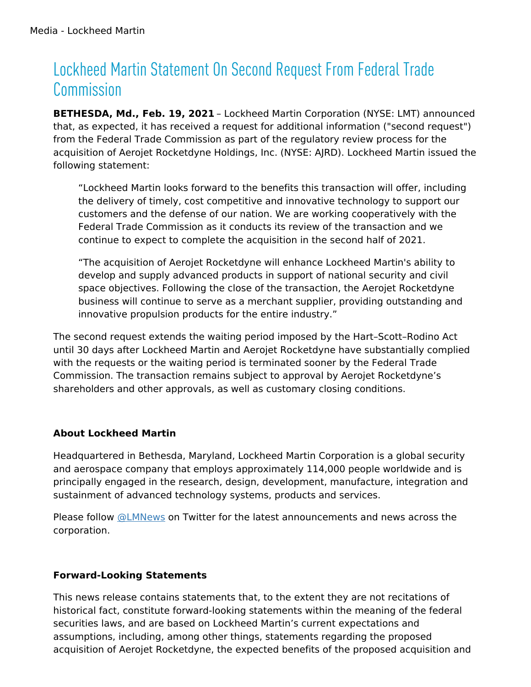# Lockheed Martin Statement On Second Request From Federal Trade Commission

**BETHESDA, Md., Feb. 19, 2021** – Lockheed Martin Corporation (NYSE: LMT) announced that, as expected, it has received a request for additional information ("second request") from the Federal Trade Commission as part of the regulatory review process for the acquisition of Aerojet Rocketdyne Holdings, Inc. (NYSE: AJRD). Lockheed Martin issued the following statement:

"Lockheed Martin looks forward to the benefits this transaction will offer, including the delivery of timely, cost competitive and innovative technology to support our customers and the defense of our nation. We are working cooperatively with the Federal Trade Commission as it conducts its review of the transaction and we continue to expect to complete the acquisition in the second half of 2021.

"The acquisition of Aerojet Rocketdyne will enhance Lockheed Martin's ability to develop and supply advanced products in support of national security and civil space objectives. Following the close of the transaction, the Aerojet Rocketdyne business will continue to serve as a merchant supplier, providing outstanding and innovative propulsion products for the entire industry."

The second request extends the waiting period imposed by the Hart–Scott–Rodino Act until 30 days after Lockheed Martin and Aerojet Rocketdyne have substantially complied with the requests or the waiting period is terminated sooner by the Federal Trade Commission. The transaction remains subject to approval by Aerojet Rocketdyne's shareholders and other approvals, as well as customary closing conditions.

## **About Lockheed Martin**

Headquartered in Bethesda, Maryland, Lockheed Martin Corporation is a global security and aerospace company that employs approximately 114,000 people worldwide and is principally engaged in the research, design, development, manufacture, integration and sustainment of advanced technology systems, products and services.

Please follow [@LMNews](https://twitter.com/lmnews) on Twitter for the latest announcements and news across the corporation.

## **Forward-Looking Statements**

This news release contains statements that, to the extent they are not recitations of historical fact, constitute forward-looking statements within the meaning of the federal securities laws, and are based on Lockheed Martin's current expectations and assumptions, including, among other things, statements regarding the proposed acquisition of Aerojet Rocketdyne, the expected benefits of the proposed acquisition and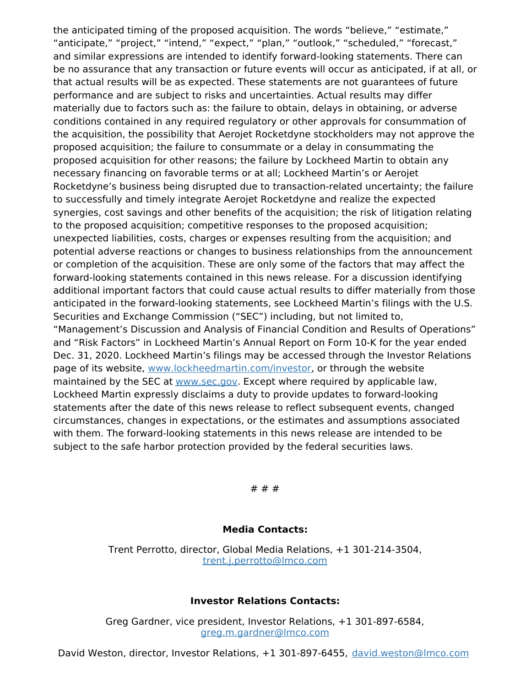the anticipated timing of the proposed acquisition. The words "believe," "estimate," "anticipate," "project," "intend," "expect," "plan," "outlook," "scheduled," "forecast," and similar expressions are intended to identify forward-looking statements. There can be no assurance that any transaction or future events will occur as anticipated, if at all, or that actual results will be as expected. These statements are not guarantees of future performance and are subject to risks and uncertainties. Actual results may differ materially due to factors such as: the failure to obtain, delays in obtaining, or adverse conditions contained in any required regulatory or other approvals for consummation of the acquisition, the possibility that Aerojet Rocketdyne stockholders may not approve the proposed acquisition; the failure to consummate or a delay in consummating the proposed acquisition for other reasons; the failure by Lockheed Martin to obtain any necessary financing on favorable terms or at all; Lockheed Martin's or Aerojet Rocketdyne's business being disrupted due to transaction-related uncertainty; the failure to successfully and timely integrate Aerojet Rocketdyne and realize the expected synergies, cost savings and other benefits of the acquisition; the risk of litigation relating to the proposed acquisition; competitive responses to the proposed acquisition; unexpected liabilities, costs, charges or expenses resulting from the acquisition; and potential adverse reactions or changes to business relationships from the announcement or completion of the acquisition. These are only some of the factors that may affect the forward-looking statements contained in this news release. For a discussion identifying additional important factors that could cause actual results to differ materially from those anticipated in the forward-looking statements, see Lockheed Martin's filings with the U.S. Securities and Exchange Commission ("SEC") including, but not limited to, "Management's Discussion and Analysis of Financial Condition and Results of Operations" and "Risk Factors" in Lockheed Martin's Annual Report on Form 10-K for the year ended Dec. 31, 2020. Lockheed Martin's filings may be accessed through the Investor Relations page of its website, [www.lockheedmartin.com/investor](http://www.lockheedmartin.com/investor), or through the website maintained by the SEC at [www.sec.gov.](http://www.sec.gov) Except where required by applicable law, Lockheed Martin expressly disclaims a duty to provide updates to forward-looking statements after the date of this news release to reflect subsequent events, changed circumstances, changes in expectations, or the estimates and assumptions associated with them. The forward-looking statements in this news release are intended to be subject to the safe harbor protection provided by the federal securities laws.

# # #

#### **Media Contacts:**

Trent Perrotto, director, Global Media Relations, +1 301-214-3504, [trent.j.perrotto@lmco.com](mailto:trent.j.perrotto@lmco.com)

#### **Investor Relations Contacts:**

Greg Gardner, vice president, Investor Relations, +1 301-897-6584, [greg.m.gardner@lmco.com](mailto:greg.m.gardner@lmco.com)

David Weston, director, Investor Relations, +1 301-897-6455, [david.weston@lmco.com](mailto:david.weston@lmco.com)